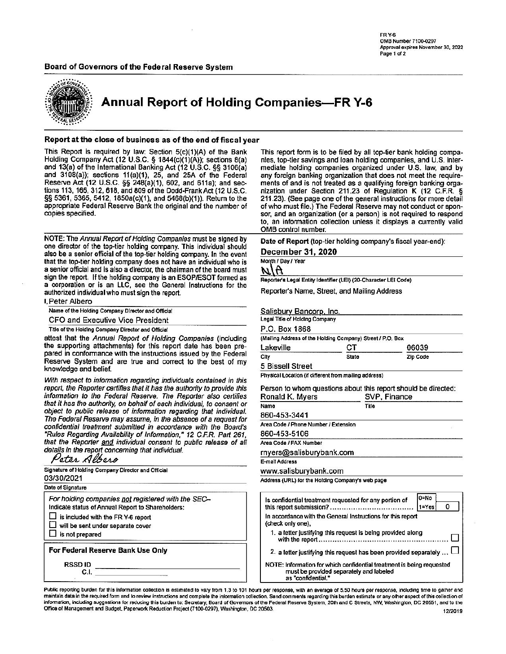**FR Y-6** OMB Number 7100-0297 Approval expires November 30, 2022 Page 1 of 2

#### Board of Governors of the Federal Reserve System



**Annual Report of Holding Companies-FR Y-6** 

#### Report at the close of business as of the end of fiscal year

This Report is required by law: Section 5(c)(1)(A) of the Bank Holding Company Act (12 U.S.C. § 1844(c)(1)(A)); sections 8(a) and 13(a) of the International Banking Act (12 U.S.C. §§ 3106(a) and 3108(a)); sections 11(a)(1), 25, and 25A of the Federal Reserve Act (12 U.S.C. §§ 248(a)(1), 602, and 611a); and sections 113, 165, 312, 618, and 809 of the Dodd-Frank Act (12 U.S.C. §§ 5361, 5365, 5412, 1850a(c)(1), and 5468(b)(1)). Return to the appropriate Federal Reserve Bank the original and the number of copies specified.

NOTE: The Annual Report of Holding Companies must be signed by one director of the top-tier holding company. This individual should also be a senior official of the top-tier holding company. In the event that the top-tier holding company does not have an individual who is a senior official and is also a director, the chairman of the board must sign the report. If the holding company is an ESOP/ESOT formed as a corporation or is an LLC, see the General Instructions for the authorized individual who must sign the report.

| I. Peter Albero                                   |  |  |
|---------------------------------------------------|--|--|
| Name of the Holding Company Director and Official |  |  |

**CFO and Executive Vice President** 

Title of the Holding Company Director and Official

attest that the Annual Report of Holding Companies (including the supporting attachments) for this report date has been prepared in conformance with the instructions issued by the Federal Reserve System and are true and correct to the best of my knowledge and belief.

With respect to information regarding individuals contained in this report, the Reporter certifies that it has the authority to provide this information to the Federal Reserve. The Reporter also certifies that it has the authority, on behalf of each individual, to consent or object to public release of information regarding that individual. The Federal Reserve may assume, in the absence of a request for confidential treatment submitted in accordance with the Board's "Rules Regarding Availability of Information," 12 C.F.R. Part 261, that the Reporter and individual consent to public release of all details in the report concerning that individual.<br>Peter Albero

Signature of Holding Company Director and Official 03/30/2021 Date of Signature For holding companies not registered with the SEC-Indicate status of Annual Report to Shareholders:  $\Box$  is included with the FR Y-6 report will be sent under separate cover  $\Box$  is not prepared For Federal Reserve Bank Use Only RSSD ID  $C.I.$ 

This report form is to be filed by all top-tier bank holding companies, top-tier savings and loan holding companies, and U.S. intermediate holding companies organized under U.S. law, and by any foreign banking organization that does not meet the requirements of and is not treated as a qualifying foreign banking organization under Section 211.23 of Regulation K (12 C.F.R. § 211.23). (See page one of the general instructions for more detail of who must file.) The Federal Reserve may not conduct or sponsor, and an organization (or a person) is not required to respond to, an information collection unless it displays a currently valid OMB control number.

Date of Report (top-tier holding company's fiscal year-end):

#### December 31, 2020

Month / Day / Year

WIT

Reporter's Legal Entity Identifier (LEI) (20-Character LEI Code)

Reporter's Name, Street, and Mailing Address

Salisbury Bancorp, Inc.

Legal Title of Holding Company

P.O. Box 1868

|           | (Mailing Address of the Holding Company) Street / P.O. Box |          |  |
|-----------|------------------------------------------------------------|----------|--|
| Lakeville | CТ                                                         | 06039    |  |
| City      | State                                                      | Zip Code |  |

**5 Bissell Street** 

Physical Location (if different from mailing address)

Person to whom questions about this report should be directed: Ponald K. Muore SVP Finance

| 11011919 11. 1117 51 3                           |       |  |  |  |  |
|--------------------------------------------------|-------|--|--|--|--|
| Name                                             | Title |  |  |  |  |
| 860-453-3441                                     |       |  |  |  |  |
| Area Code / Phone Number / Extension             |       |  |  |  |  |
| 860-453-5106                                     |       |  |  |  |  |
| Area Code / FAX Number                           |       |  |  |  |  |
| rnyers@salisburybank.com                         |       |  |  |  |  |
| E-mail Address                                   |       |  |  |  |  |
| www.salisburybank.com                            |       |  |  |  |  |
| Address (URL) for the Holding Company's web page |       |  |  |  |  |

 $0 = No$ Is confidential treatment requested for any portion of  $|1 = Yes$ 0 In accordance with the General Instructions for this report (check only one), 1. a letter justifying this request is being provided along with the report……………………………………………  $\sqcup$ 2. a letter justifying this request has been provided separately ... NOTE: Information for which confidential treatment is being requested must be provided separately and labeled as "confidential."

Public reporting burden for this information collection is estimated to vary from 1.3 to 101 hours per response, with an average of 5.50 hours per response, including time to gather and maintain data in the required form and to review instructions and complete the information collection. Send comments regarding this burden estimate or any other aspect of this collection of information, including suggestions for reducing this burden to: Secretary, Board of Governors of the Federal Reserve System, 20th and C Streets, NW, Washington, DC 20551, and to the Office of Management and Budget, Paperwork Reduction Project (7100-0297), Washington, DC 20503. 12/2019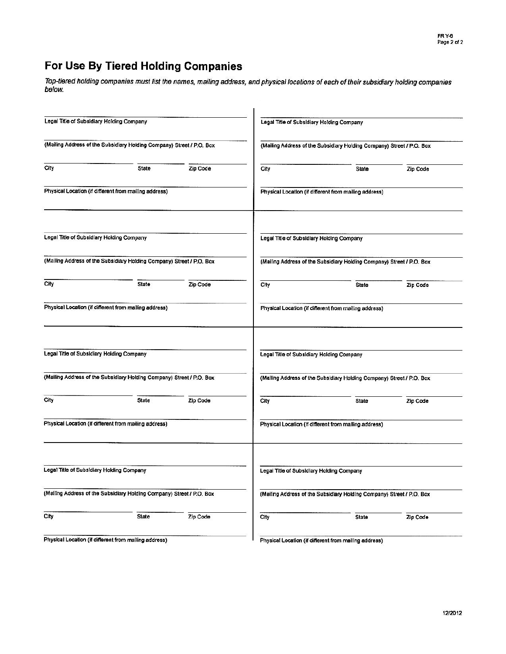# For Use By Tiered Holding Companies

Top-tiered holding companies must list the names, mailing address, and physical locations of each of their subsidiary holding companies<br>below.

| Legal Title of Subsidiary Holding Company |                                                                       |          |      | Legal Title of Subsidiary Holding Company                             |          |
|-------------------------------------------|-----------------------------------------------------------------------|----------|------|-----------------------------------------------------------------------|----------|
|                                           | (Mailing Address of the Subsidiary Holding Company) Street / P.O. Box |          |      | (Mailing Address of the Subsidiary Holding Company) Street / P.O. Box |          |
| City                                      | <b>State</b>                                                          | Zip Code | City | <b>State</b>                                                          | Zip Code |
|                                           | Physical Location (if different from mailing address)                 |          |      | Physical Location (if different from mailing address)                 |          |
| Legal Title of Subsidiary Holding Company |                                                                       |          |      | Legal Title of Subsidiary Holding Company                             |          |
|                                           | (Mailing Address of the Subsidiary Holding Company) Street / P.O. Box |          |      | (Mailing Address of the Subsidiary Holding Company) Street / P.O. Box |          |
| City                                      | State                                                                 | Zip Code | City | State                                                                 | Zip Code |
|                                           | Physical Location (if different from mailing address)                 |          |      | Physical Location (if different from mailing address)                 |          |
| Legal Title of Subsidiary Holding Company |                                                                       |          |      | Legal Title of Subsidiary Holding Company                             |          |
|                                           | (Mailing Address of the Subsidiary Holding Company) Street / P.O. Box |          |      | (Mailing Address of the Subsidiary Holding Company) Street / P.O. Box |          |
| City                                      | <b>State</b>                                                          | Zip Code | City | State                                                                 | Zip Code |
|                                           | Physical Location (if different from mailing address)                 |          |      | Physical Location (if different from mailing address)                 |          |
| Legal Title of Subsidiary Holding Company |                                                                       |          |      | Legal Title of Subsidiary Holding Company                             |          |
|                                           | (Mailing Address of the Subsidiary Holding Company) Street / P.O. Box |          |      | (Mailing Address of the Subsidiary Holding Company) Street / P.O. Box |          |
| City                                      | State                                                                 | Zip Code | City | State                                                                 | Zip Code |
|                                           | Physical Location (if different from mailing address)                 |          |      | Physical Location (if different from mailing address)                 |          |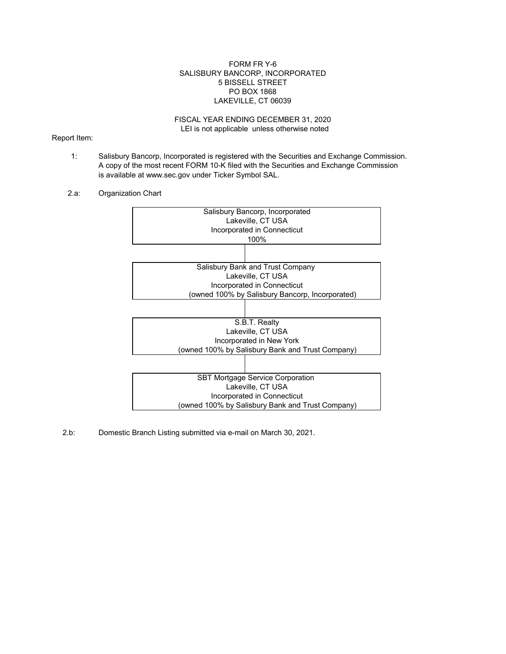## FORM FR Y-6 SALISBURY BANCORP, INCORPORATED 5 BISSELL STREET PO BOX 1868 LAKEVILLE, CT 06039

#### LEI is not applicable unless otherwise noted FISCAL YEAR ENDING DECEMBER 31, 2020

### Report Item:

- 1: Salisbury Bancorp, Incorporated is registered with the Securities and Exchange Commission. A copy of the most recent FORM 10-K filed with the Securities and Exchange Commission is available at www.sec.gov under Ticker Symbol SAL.
- 2.a: Organization Chart



2.b: Domestic Branch Listing submitted via e-mail on March 30, 2021.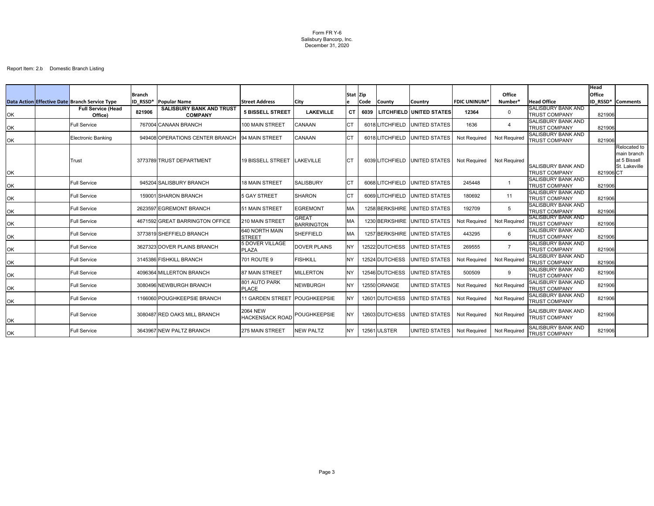Form FR Y-6 Salisbury Bancorp, Inc. December 31, 2020

|           |                                                |               |                                                   |                                           |                                   |             |             |                |                                 |                     |                     |                                                   | <b>Head</b>   |                                                              |
|-----------|------------------------------------------------|---------------|---------------------------------------------------|-------------------------------------------|-----------------------------------|-------------|-------------|----------------|---------------------------------|---------------------|---------------------|---------------------------------------------------|---------------|--------------------------------------------------------------|
|           |                                                | <b>Branch</b> |                                                   |                                           |                                   | <b>Stat</b> | lZip.       |                |                                 |                     | <b>Office</b>       |                                                   | <b>Office</b> |                                                              |
|           | Data Action Effective Date Branch Service Type | ID RSSD*      | Popular Name                                      | <b>Street Address</b>                     | <b>City</b>                       |             | <b>Code</b> | <b>County</b>  | Country                         | <b>FDIC UNINUM</b>  | Number*             | <b>Head Office</b><br><b>SALISBURY BANK AND</b>   |               | <b>ID RSSD* Comments</b>                                     |
| OK        | <b>Full Service (Head</b><br>Office)           | 821906        | <b>SALISBURY BANK AND TRUST</b><br><b>COMPANY</b> | <b>5 BISSELL STREET</b>                   | <b>LAKEVILLE</b>                  | <b>CT</b>   | 6039        |                | <b>LITCHFIELD UNITED STATES</b> | 12364               | $\Omega$            | <b>TRUST COMPANY</b>                              | 821906        |                                                              |
| OK        | <b>Full Service</b>                            |               | 767004 CANAAN BRANCH                              | 100 MAIN STREET                           | <b>CANAAN</b>                     | СT          |             | 6018LITCHFIELD | <b>UNITED STATES</b>            | 1636                | -4                  | <b>SALISBURY BANK AND</b><br><b>TRUST COMPANY</b> | 821906        |                                                              |
| OK        | Electronic Banking                             |               | 949408 OPERATIONS CENTER BRANCH                   | 94 MAIN STREET                            | <b>CANAAN</b>                     | <b>CT</b>   |             | 6018LITCHFIELD | UNITED STATES                   | Not Required        | <b>Not Required</b> | <b>SALISBURY BANK AND</b><br><b>TRUST COMPANY</b> | 821906        |                                                              |
| OK        | Trust                                          |               | 3773789 TRUST DEPARTMENT                          | <b>19 BISSELL STREET</b>                  | <b>LAKEVILLE</b>                  | <b>CT</b>   |             | 6039LITCHFIELD | UNITED STATES                   | <b>Not Required</b> | <b>Not Required</b> | <b>SALISBURY BANK AND</b><br><b>TRUST COMPANY</b> | 821906CT      | Relocated to<br>main branch<br>at 5 Bissell<br>St. Lakeville |
| OK        | <b>Full Service</b>                            |               | 945204 SALISBURY BRANCH                           | <b>18 MAIN STREET</b>                     | <b>SALISBURY</b>                  | <b>CT</b>   |             | 6068LITCHFIELD | <b>UNITED STATES</b>            | 245448              |                     | <b>SALISBURY BANK AND</b><br><b>TRUST COMPANY</b> | 821906        |                                                              |
| OK        | <b>Full Service</b>                            |               | 159001 SHARON BRANCH                              | 5 GAY STREET                              | <b>SHARON</b>                     | <b>CT</b>   |             | 6069LITCHFIELD | UNITED STATES                   | 180692              | 11                  | <b>SALISBURY BANK AND</b><br><b>TRUST COMPANY</b> | 821906        |                                                              |
| OK        | <b>Full Service</b>                            |               | 2623597 EGREMONT BRANCH                           | 51 MAIN STREET                            | <b>EGREMONT</b>                   | <b>MA</b>   |             |                | 1258 BERKSHIRE UNITED STATES    | 192709              | -5                  | <b>SALISBURY BANK AND</b><br><b>TRUST COMPANY</b> | 821906        |                                                              |
| OK        | <b>Full Service</b>                            |               | 4671592 GREAT BARRINGTON OFFICE                   | 210 MAIN STREET                           | <b>GREAT</b><br><b>BARRINGTON</b> | <b>MA</b>   |             | 1230 BERKSHIRE | UNITED STATES                   | Not Required        | <b>Not Required</b> | <b>SALISBURY BANK AND</b><br><b>TRUST COMPANY</b> | 821906        |                                                              |
| OK        | <b>Full Service</b>                            |               | 3773819 SHEFFIELD BRANCH                          | 640 NORTH MAIN<br><b>STREET</b>           | <b>SHEFFIELD</b>                  | <b>MA</b>   |             | 1257 BERKSHIRE | UNITED STATES                   | 443295              | 6                   | <b>SALISBURY BANK AND</b><br><b>TRUST COMPANY</b> | 821906        |                                                              |
| OK        | <b>Full Service</b>                            |               | 3627323 DOVER PLAINS BRANCH                       | 5 DOVER VILLAGE<br><b>PLAZA</b>           | <b>DOVER PLAINS</b>               | <b>NY</b>   |             | 12522 DUTCHESS | <b>UNITED STATES</b>            | 269555              | $\overline{7}$      | <b>SALISBURY BANK AND</b><br><b>TRUST COMPANY</b> | 821906        |                                                              |
| OK        | <b>Full Service</b>                            |               | 3145386 FISHKILL BRANCH                           | 701 ROUTE 9                               | <b>FISHKILL</b>                   | <b>NY</b>   |             | 12524 DUTCHESS | UNITED STATES                   | Not Required        | Not Required        | <b>SALISBURY BANK AND</b><br><b>TRUST COMPANY</b> | 821906        |                                                              |
| OK        | <b>Full Service</b>                            |               | 4096364 MILLERTON BRANCH                          | 87 MAIN STREET                            | <b>MILLERTON</b>                  | <b>NY</b>   |             | 12546 DUTCHESS | <b>UNITED STATES</b>            | 500509              | -9                  | <b>SALISBURY BANK AND</b><br><b>TRUST COMPANY</b> | 821906        |                                                              |
| OK        | <b>Full Service</b>                            |               | 3080496 NEWBURGH BRANCH                           | 801 AUTO PARK<br><b>PLACE</b>             | <b>NEWBURGH</b>                   | <b>NY</b>   |             | 12550 ORANGE   | <b>UNITED STATES</b>            | <b>Not Required</b> | <b>Not Required</b> | <b>SALISBURY BANK AND</b><br><b>TRUST COMPANY</b> | 821906        |                                                              |
| OK        | <b>Full Service</b>                            |               | 1166060 POUGHKEEPSIE BRANCH                       | 11 GARDEN STREET POUGHKEEPSIE             |                                   | <b>NY</b>   |             | 12601 DUTCHESS | <b>UNITED STATES</b>            | Not Required        | <b>Not Required</b> | <b>SALISBURY BANK AND</b><br><b>TRUST COMPANY</b> | 821906        |                                                              |
| OK        | <b>Full Service</b>                            |               | 3080487 RED OAKS MILL BRANCH                      | <b>2064 NEW</b><br><b>HACKENSACK ROAD</b> | POUGHKEEPSIE                      | <b>NY</b>   |             | 12603 DUTCHESS | UNITED STATES                   | Not Required        | <b>Not Required</b> | <b>SALISBURY BANK AND</b><br><b>TRUST COMPANY</b> | 821906        |                                                              |
| <b>OK</b> | <b>Full Service</b>                            |               | 3643967 NEW PALTZ BRANCH                          | 275 MAIN STREET                           | <b>NEW PALTZ</b>                  | <b>NY</b>   |             | 12561 ULSTER   | UNITED STATES                   | <b>Not Required</b> | Not Required        | <b>SALISBURY BANK AND</b><br><b>TRUST COMPANY</b> | 821906        |                                                              |

# Report Item: 2.b Domestic Branch Listing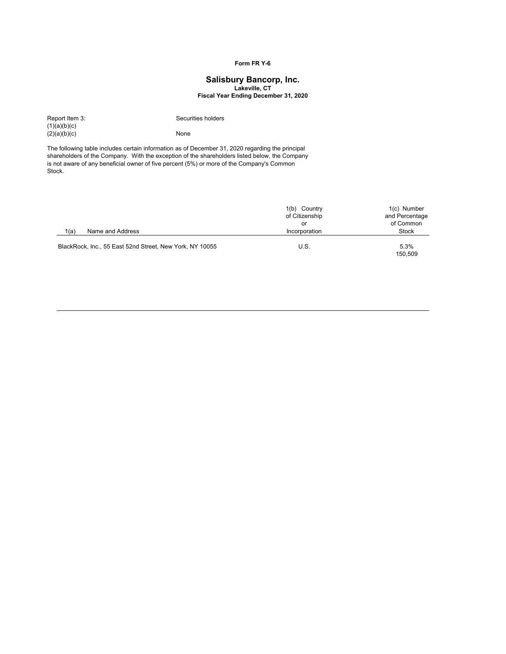## **Form FR Y-6**

# **Lakeville, CT Salisbury Bancorp, Inc.**

**Fiscal Year Ending December 31, 2020**

 $(1)(a)(b)(c)$  $(2)(a)(b)(c)$  None

Report Item 3: Securities holders

The following table includes certain information as of December 31, 2020 regarding the principal shareholders of the Company. With the exception of the shareholders listed below, the Company is not aware of any beneficial owner of five percent (5%) or more of the Company's Common Stock.

|                                                          | 1(b) Country<br>of Citizenship | 1(c) Number<br>and Percentage |
|----------------------------------------------------------|--------------------------------|-------------------------------|
|                                                          | or                             | of Common                     |
| 1(a)<br>Name and Address                                 | Incorporation                  | <b>Stock</b>                  |
| BlackRock, Inc., 55 East 52nd Street, New York, NY 10055 | U.S.                           | 5.3%<br>150,509               |